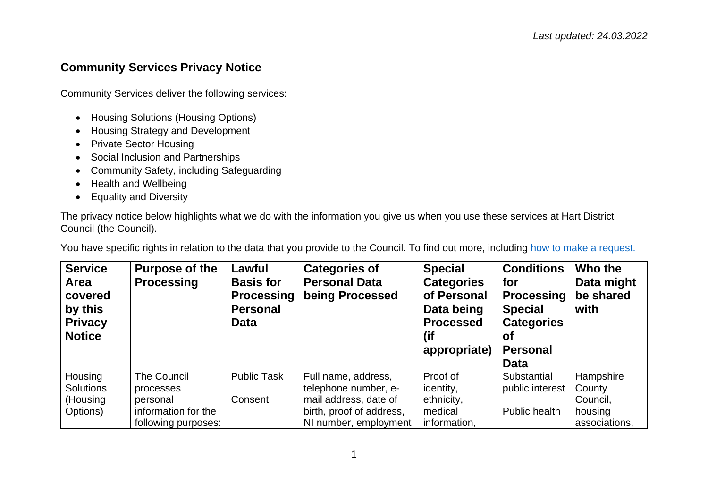## **Community Services Privacy Notice**

Community Services deliver the following services:

- Housing Solutions (Housing Options)
- Housing Strategy and Development
- Private Sector Housing
- Social Inclusion and Partnerships
- Community Safety, including Safeguarding
- Health and Wellbeing
- Equality and Diversity

The privacy notice below highlights what we do with the information you give us when you use these services at Hart District Council (the Council).

You have specific rights in relation to the data that you provide to the Council. To find out more, including [how to make a request.](https://www.hart.gov.uk/right-to-know)

| <b>Service</b><br>Area<br>covered<br>by this<br><b>Privacy</b><br><b>Notice</b> | Purpose of the<br><b>Processing</b> | Lawful<br><b>Basis for</b><br><b>Processing</b><br><b>Personal</b><br><b>Data</b> | <b>Categories of</b><br><b>Personal Data</b><br>being Processed | <b>Special</b><br><b>Categories</b><br>of Personal<br>Data being<br><b>Processed</b><br>(if<br>appropriate) | <b>Conditions</b><br>for<br><b>Processing</b><br><b>Special</b><br><b>Categories</b><br>Οt<br><b>Personal</b><br><b>Data</b> | Who the<br>Data might<br>be shared<br>with |
|---------------------------------------------------------------------------------|-------------------------------------|-----------------------------------------------------------------------------------|-----------------------------------------------------------------|-------------------------------------------------------------------------------------------------------------|------------------------------------------------------------------------------------------------------------------------------|--------------------------------------------|
| Housing<br><b>Solutions</b>                                                     | <b>The Council</b><br>processes     | <b>Public Task</b>                                                                | Full name, address,<br>telephone number, e-                     | Proof of<br>identity,                                                                                       | Substantial<br>public interest                                                                                               | Hampshire<br>County                        |
| (Housing                                                                        | personal                            | Consent                                                                           | mail address, date of                                           | ethnicity,                                                                                                  |                                                                                                                              | Council,                                   |
| Options)                                                                        | information for the                 |                                                                                   | birth, proof of address,                                        | medical                                                                                                     | Public health                                                                                                                | housing                                    |
|                                                                                 | following purposes:                 |                                                                                   | NI number, employment                                           | information,                                                                                                |                                                                                                                              | associations.                              |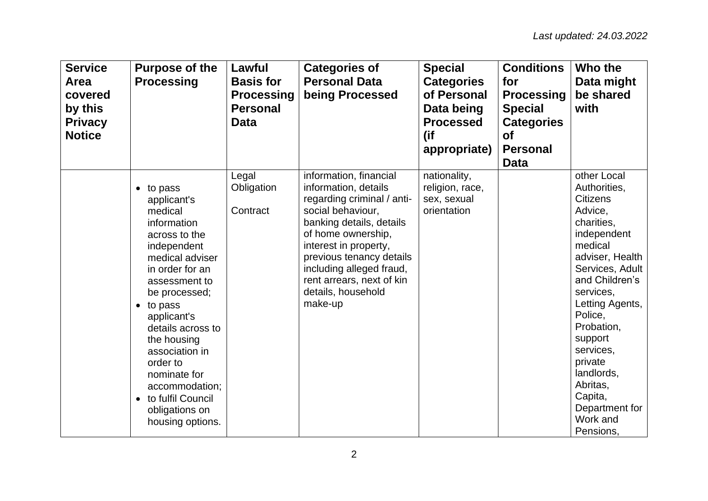| <b>Service</b><br>Area<br>covered<br>by this<br><b>Privacy</b><br><b>Notice</b> | <b>Purpose of the</b><br><b>Processing</b>                                                                                                                                                                                                                                                                                                                                         | Lawful<br><b>Basis for</b><br><b>Processing</b><br><b>Personal</b><br><b>Data</b> | <b>Categories of</b><br><b>Personal Data</b><br>being Processed                                                                                                                                                                                                                                    | <b>Special</b><br><b>Categories</b><br>of Personal<br>Data being<br><b>Processed</b><br>(if<br>appropriate) | <b>Conditions</b><br>for<br><b>Processing</b><br><b>Special</b><br><b>Categories</b><br><b>of</b><br><b>Personal</b><br><b>Data</b> | Who the<br>Data might<br>be shared<br>with                                                                                                                                                                                                                                                                                            |
|---------------------------------------------------------------------------------|------------------------------------------------------------------------------------------------------------------------------------------------------------------------------------------------------------------------------------------------------------------------------------------------------------------------------------------------------------------------------------|-----------------------------------------------------------------------------------|----------------------------------------------------------------------------------------------------------------------------------------------------------------------------------------------------------------------------------------------------------------------------------------------------|-------------------------------------------------------------------------------------------------------------|-------------------------------------------------------------------------------------------------------------------------------------|---------------------------------------------------------------------------------------------------------------------------------------------------------------------------------------------------------------------------------------------------------------------------------------------------------------------------------------|
|                                                                                 | $\bullet$ to pass<br>applicant's<br>medical<br>information<br>across to the<br>independent<br>medical adviser<br>in order for an<br>assessment to<br>be processed;<br>$\bullet$ to pass<br>applicant's<br>details across to<br>the housing<br>association in<br>order to<br>nominate for<br>accommodation;<br>to fulfil Council<br>$\bullet$<br>obligations on<br>housing options. | Legal<br>Obligation<br>Contract                                                   | information, financial<br>information, details<br>regarding criminal / anti-<br>social behaviour,<br>banking details, details<br>of home ownership,<br>interest in property,<br>previous tenancy details<br>including alleged fraud,<br>rent arrears, next of kin<br>details, household<br>make-up | nationality,<br>religion, race,<br>sex, sexual<br>orientation                                               |                                                                                                                                     | other Local<br>Authorities,<br><b>Citizens</b><br>Advice,<br>charities,<br>independent<br>medical<br>adviser, Health<br>Services, Adult<br>and Children's<br>services,<br>Letting Agents,<br>Police,<br>Probation,<br>support<br>services,<br>private<br>landlords,<br>Abritas,<br>Capita,<br>Department for<br>Work and<br>Pensions, |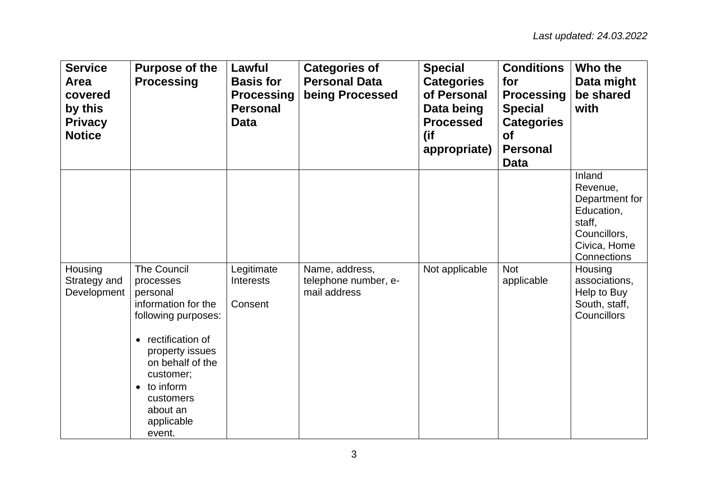| <b>Service</b><br>Area<br>covered<br>by this<br><b>Privacy</b><br><b>Notice</b> | <b>Purpose of the</b><br><b>Processing</b>                                                                                                                                                                                           | Lawful<br><b>Basis for</b><br><b>Processing</b><br><b>Personal</b><br><b>Data</b> | <b>Categories of</b><br><b>Personal Data</b><br>being Processed | <b>Special</b><br><b>Categories</b><br>of Personal<br>Data being<br><b>Processed</b><br>(if<br>appropriate) | <b>Conditions</b><br>for<br><b>Processing</b><br><b>Special</b><br><b>Categories</b><br><b>of</b><br><b>Personal</b><br><b>Data</b> | Who the<br>Data might<br>be shared<br>with                                                                  |
|---------------------------------------------------------------------------------|--------------------------------------------------------------------------------------------------------------------------------------------------------------------------------------------------------------------------------------|-----------------------------------------------------------------------------------|-----------------------------------------------------------------|-------------------------------------------------------------------------------------------------------------|-------------------------------------------------------------------------------------------------------------------------------------|-------------------------------------------------------------------------------------------------------------|
|                                                                                 |                                                                                                                                                                                                                                      |                                                                                   |                                                                 |                                                                                                             |                                                                                                                                     | Inland<br>Revenue,<br>Department for<br>Education,<br>staff,<br>Councillors,<br>Civica, Home<br>Connections |
| Housing<br>Strategy and<br>Development                                          | The Council<br>processes<br>personal<br>information for the<br>following purposes:<br>• rectification of<br>property issues<br>on behalf of the<br>customer;<br>$\bullet$ to inform<br>customers<br>about an<br>applicable<br>event. | Legitimate<br><b>Interests</b><br>Consent                                         | Name, address,<br>telephone number, e-<br>mail address          | Not applicable                                                                                              | <b>Not</b><br>applicable                                                                                                            | Housing<br>associations,<br>Help to Buy<br>South, staff,<br>Councillors                                     |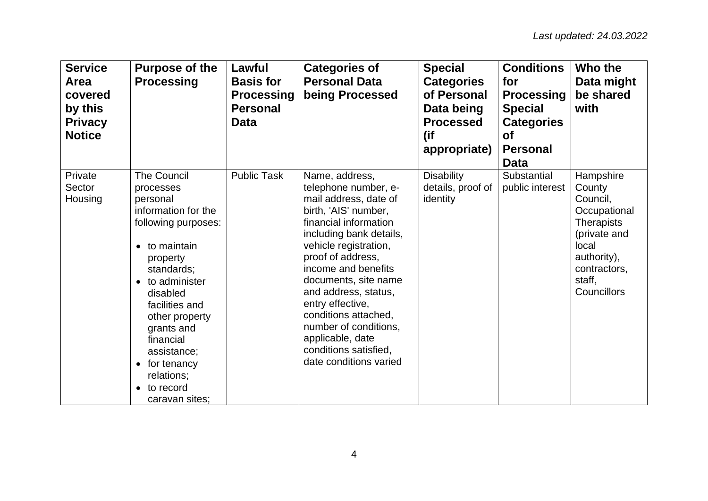| <b>Service</b><br>Area<br>covered<br>by this<br><b>Privacy</b><br><b>Notice</b> | <b>Purpose of the</b><br><b>Processing</b>                                                                                                                                                                                                                                                                                        | Lawful<br><b>Basis for</b><br><b>Processing</b><br><b>Personal</b><br>Data | <b>Categories of</b><br><b>Personal Data</b><br>being Processed                                                                                                                                                                                                                                                                                                                                              | <b>Special</b><br><b>Categories</b><br>of Personal<br>Data being<br><b>Processed</b><br>(if<br>appropriate) | <b>Conditions</b><br>for<br><b>Processing</b><br><b>Special</b><br><b>Categories</b><br><b>of</b><br><b>Personal</b><br><b>Data</b> | Who the<br>Data might<br>be shared<br>with                                                                                                     |
|---------------------------------------------------------------------------------|-----------------------------------------------------------------------------------------------------------------------------------------------------------------------------------------------------------------------------------------------------------------------------------------------------------------------------------|----------------------------------------------------------------------------|--------------------------------------------------------------------------------------------------------------------------------------------------------------------------------------------------------------------------------------------------------------------------------------------------------------------------------------------------------------------------------------------------------------|-------------------------------------------------------------------------------------------------------------|-------------------------------------------------------------------------------------------------------------------------------------|------------------------------------------------------------------------------------------------------------------------------------------------|
| Private<br>Sector<br>Housing                                                    | <b>The Council</b><br>processes<br>personal<br>information for the<br>following purposes:<br>$\bullet$ to maintain<br>property<br>standards;<br>• to administer<br>disabled<br>facilities and<br>other property<br>grants and<br>financial<br>assistance;<br>$\bullet$ for tenancy<br>relations;<br>• to record<br>caravan sites; | <b>Public Task</b>                                                         | Name, address,<br>telephone number, e-<br>mail address, date of<br>birth, 'AIS' number,<br>financial information<br>including bank details,<br>vehicle registration,<br>proof of address,<br>income and benefits<br>documents, site name<br>and address, status,<br>entry effective,<br>conditions attached,<br>number of conditions,<br>applicable, date<br>conditions satisfied,<br>date conditions varied | <b>Disability</b><br>details, proof of<br>identity                                                          | Substantial<br>public interest                                                                                                      | Hampshire<br>County<br>Council,<br>Occupational<br>Therapists<br>(private and<br>local<br>authority),<br>contractors,<br>staff,<br>Councillors |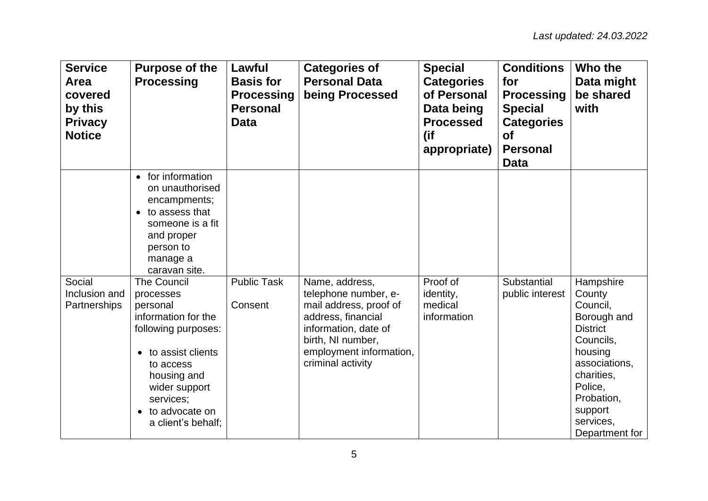| <b>Service</b><br>Area<br>covered<br>by this<br><b>Privacy</b><br><b>Notice</b> | <b>Purpose of the</b><br><b>Processing</b>                                                                                                                                                                       | Lawful<br><b>Basis for</b><br><b>Processing</b><br><b>Personal</b><br><b>Data</b> | <b>Categories of</b><br><b>Personal Data</b><br>being Processed                                                                                                                     | <b>Special</b><br><b>Categories</b><br>of Personal<br>Data being<br><b>Processed</b><br>(if<br>appropriate) | <b>Conditions</b><br>for<br><b>Processing</b><br><b>Special</b><br><b>Categories</b><br><b>of</b><br><b>Personal</b><br><b>Data</b> | Who the<br>Data might<br>be shared<br>with                                                                                                                                                  |
|---------------------------------------------------------------------------------|------------------------------------------------------------------------------------------------------------------------------------------------------------------------------------------------------------------|-----------------------------------------------------------------------------------|-------------------------------------------------------------------------------------------------------------------------------------------------------------------------------------|-------------------------------------------------------------------------------------------------------------|-------------------------------------------------------------------------------------------------------------------------------------|---------------------------------------------------------------------------------------------------------------------------------------------------------------------------------------------|
|                                                                                 | for information<br>on unauthorised<br>encampments;<br>to assess that<br>someone is a fit<br>and proper<br>person to<br>manage a<br>caravan site.                                                                 |                                                                                   |                                                                                                                                                                                     |                                                                                                             |                                                                                                                                     |                                                                                                                                                                                             |
| Social<br>Inclusion and<br>Partnerships                                         | <b>The Council</b><br>processes<br>personal<br>information for the<br>following purposes:<br>to assist clients<br>to access<br>housing and<br>wider support<br>services;<br>to advocate on<br>a client's behalf; | <b>Public Task</b><br>Consent                                                     | Name, address,<br>telephone number, e-<br>mail address, proof of<br>address, financial<br>information, date of<br>birth, NI number,<br>employment information,<br>criminal activity | Proof of<br>identity,<br>medical<br>information                                                             | Substantial<br>public interest                                                                                                      | Hampshire<br>County<br>Council,<br>Borough and<br><b>District</b><br>Councils,<br>housing<br>associations,<br>charities,<br>Police,<br>Probation,<br>support<br>services,<br>Department for |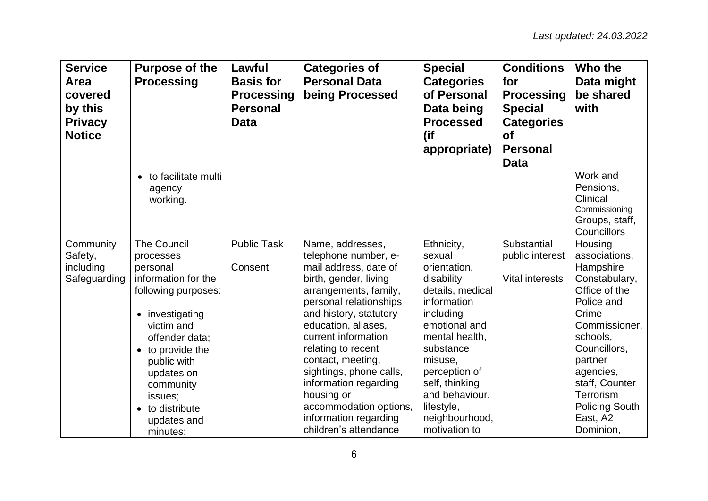| <b>Service</b><br><b>Area</b><br>covered<br>by this<br><b>Privacy</b><br><b>Notice</b> | <b>Purpose of the</b><br><b>Processing</b>                                                                                                                                                                                                                          | Lawful<br><b>Basis for</b><br><b>Processing</b><br><b>Personal</b><br><b>Data</b> | <b>Categories of</b><br><b>Personal Data</b><br>being Processed                                                                                                                                                                                                                                                                                                                                                | <b>Special</b><br><b>Categories</b><br>of Personal<br>Data being<br><b>Processed</b><br>(if<br>appropriate)                                                                                                                                                         | <b>Conditions</b><br>for<br><b>Processing</b><br><b>Special</b><br><b>Categories</b><br><b>of</b><br><b>Personal</b><br><b>Data</b> | Who the<br>Data might<br>be shared<br>with                                                                                                                                                                                                                  |
|----------------------------------------------------------------------------------------|---------------------------------------------------------------------------------------------------------------------------------------------------------------------------------------------------------------------------------------------------------------------|-----------------------------------------------------------------------------------|----------------------------------------------------------------------------------------------------------------------------------------------------------------------------------------------------------------------------------------------------------------------------------------------------------------------------------------------------------------------------------------------------------------|---------------------------------------------------------------------------------------------------------------------------------------------------------------------------------------------------------------------------------------------------------------------|-------------------------------------------------------------------------------------------------------------------------------------|-------------------------------------------------------------------------------------------------------------------------------------------------------------------------------------------------------------------------------------------------------------|
|                                                                                        | to facilitate multi<br>agency<br>working.                                                                                                                                                                                                                           |                                                                                   |                                                                                                                                                                                                                                                                                                                                                                                                                |                                                                                                                                                                                                                                                                     |                                                                                                                                     | Work and<br>Pensions,<br>Clinical<br>Commissioning<br>Groups, staff,<br>Councillors                                                                                                                                                                         |
| Community<br>Safety,<br>including<br>Safeguarding                                      | <b>The Council</b><br>processes<br>personal<br>information for the<br>following purposes:<br>• investigating<br>victim and<br>offender data;<br>• to provide the<br>public with<br>updates on<br>community<br>issues;<br>• to distribute<br>updates and<br>minutes; | <b>Public Task</b><br>Consent                                                     | Name, addresses,<br>telephone number, e-<br>mail address, date of<br>birth, gender, living<br>arrangements, family,<br>personal relationships<br>and history, statutory<br>education, aliases,<br>current information<br>relating to recent<br>contact, meeting,<br>sightings, phone calls,<br>information regarding<br>housing or<br>accommodation options,<br>information regarding<br>children's attendance | Ethnicity,<br>sexual<br>orientation,<br>disability<br>details, medical<br>information<br>including<br>emotional and<br>mental health,<br>substance<br>misuse,<br>perception of<br>self, thinking<br>and behaviour,<br>lifestyle,<br>neighbourhood,<br>motivation to | Substantial<br>public interest<br><b>Vital interests</b>                                                                            | Housing<br>associations,<br>Hampshire<br>Constabulary,<br>Office of the<br>Police and<br>Crime<br>Commissioner,<br>schools,<br>Councillors,<br>partner<br>agencies,<br>staff, Counter<br><b>Terrorism</b><br><b>Policing South</b><br>East, A2<br>Dominion, |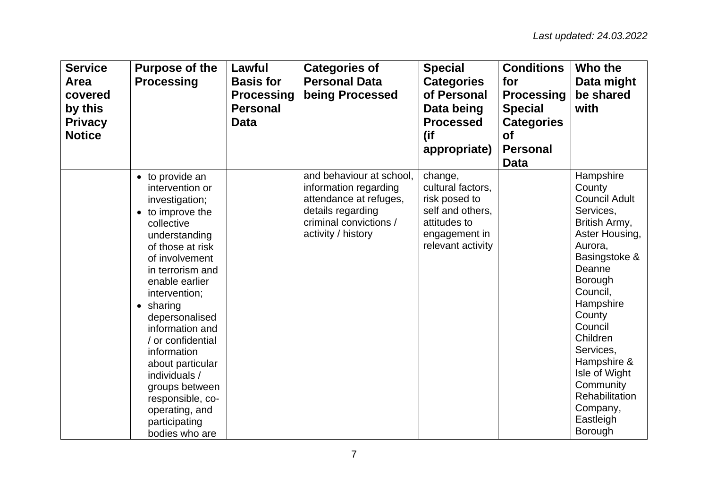| <b>Service</b><br><b>Area</b><br>covered<br>by this<br><b>Privacy</b><br><b>Notice</b> | <b>Purpose of the</b><br><b>Processing</b>                                                                                                                                                                                                                                                                                                                                                                                         | Lawful<br><b>Basis for</b><br><b>Processing</b><br><b>Personal</b><br><b>Data</b> | <b>Categories of</b><br><b>Personal Data</b><br>being Processed                                                                                  | <b>Special</b><br><b>Categories</b><br>of Personal<br>Data being<br><b>Processed</b><br>(if<br>appropriate)             | <b>Conditions</b><br>for<br><b>Processing</b><br><b>Special</b><br><b>Categories</b><br><b>of</b><br><b>Personal</b><br><b>Data</b> | Who the<br>Data might<br>be shared<br>with                                                                                                                                                                                                                                                                                           |
|----------------------------------------------------------------------------------------|------------------------------------------------------------------------------------------------------------------------------------------------------------------------------------------------------------------------------------------------------------------------------------------------------------------------------------------------------------------------------------------------------------------------------------|-----------------------------------------------------------------------------------|--------------------------------------------------------------------------------------------------------------------------------------------------|-------------------------------------------------------------------------------------------------------------------------|-------------------------------------------------------------------------------------------------------------------------------------|--------------------------------------------------------------------------------------------------------------------------------------------------------------------------------------------------------------------------------------------------------------------------------------------------------------------------------------|
|                                                                                        | • to provide an<br>intervention or<br>investigation;<br>• to improve the<br>collective<br>understanding<br>of those at risk<br>of involvement<br>in terrorism and<br>enable earlier<br>intervention;<br>$\bullet$ sharing<br>depersonalised<br>information and<br>/ or confidential<br>information<br>about particular<br>individuals /<br>groups between<br>responsible, co-<br>operating, and<br>participating<br>bodies who are |                                                                                   | and behaviour at school,<br>information regarding<br>attendance at refuges,<br>details regarding<br>criminal convictions /<br>activity / history | change,<br>cultural factors,<br>risk posed to<br>self and others,<br>attitudes to<br>engagement in<br>relevant activity |                                                                                                                                     | Hampshire<br>County<br><b>Council Adult</b><br>Services,<br>British Army,<br>Aster Housing,<br>Aurora,<br>Basingstoke &<br>Deanne<br>Borough<br>Council,<br>Hampshire<br>County<br>Council<br>Children<br>Services,<br>Hampshire &<br>Isle of Wight<br>Community<br><b>Rehabilitation</b><br>Company,<br>Eastleigh<br><b>Borough</b> |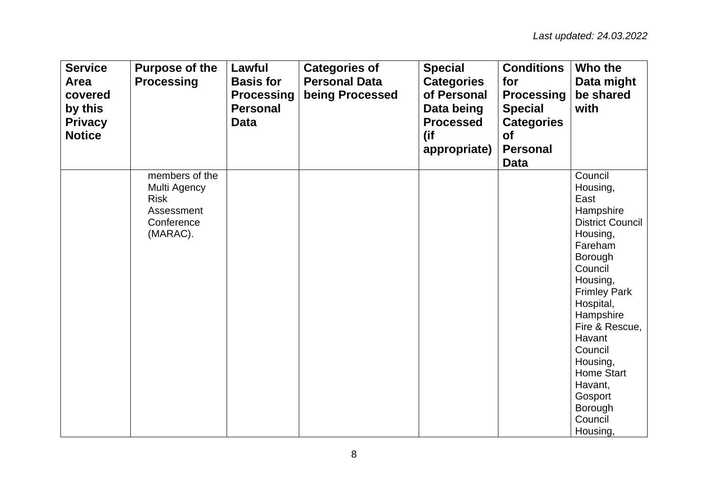| <b>Service</b><br><b>Area</b><br>covered<br>by this<br><b>Privacy</b><br><b>Notice</b> | <b>Purpose of the</b><br><b>Processing</b>                                            | Lawful<br><b>Basis for</b><br><b>Processing</b><br><b>Personal</b><br><b>Data</b> | <b>Categories of</b><br><b>Personal Data</b><br>being Processed | <b>Special</b><br><b>Categories</b><br>of Personal<br>Data being<br><b>Processed</b><br>(if<br>appropriate) | <b>Conditions</b><br>for<br><b>Processing</b><br><b>Special</b><br><b>Categories</b><br><b>of</b><br><b>Personal</b><br><b>Data</b> | Who the<br>Data might<br>be shared<br>with                                                                                                                                                                                                                                                                           |
|----------------------------------------------------------------------------------------|---------------------------------------------------------------------------------------|-----------------------------------------------------------------------------------|-----------------------------------------------------------------|-------------------------------------------------------------------------------------------------------------|-------------------------------------------------------------------------------------------------------------------------------------|----------------------------------------------------------------------------------------------------------------------------------------------------------------------------------------------------------------------------------------------------------------------------------------------------------------------|
|                                                                                        | members of the<br>Multi Agency<br><b>Risk</b><br>Assessment<br>Conference<br>(MARAC). |                                                                                   |                                                                 |                                                                                                             |                                                                                                                                     | Council<br>Housing,<br>East<br>Hampshire<br><b>District Council</b><br>Housing,<br>Fareham<br>Borough<br>Council<br>Housing,<br><b>Frimley Park</b><br>Hospital,<br>Hampshire<br>Fire & Rescue,<br>Havant<br>Council<br>Housing,<br><b>Home Start</b><br>Havant,<br>Gosport<br><b>Borough</b><br>Council<br>Housing, |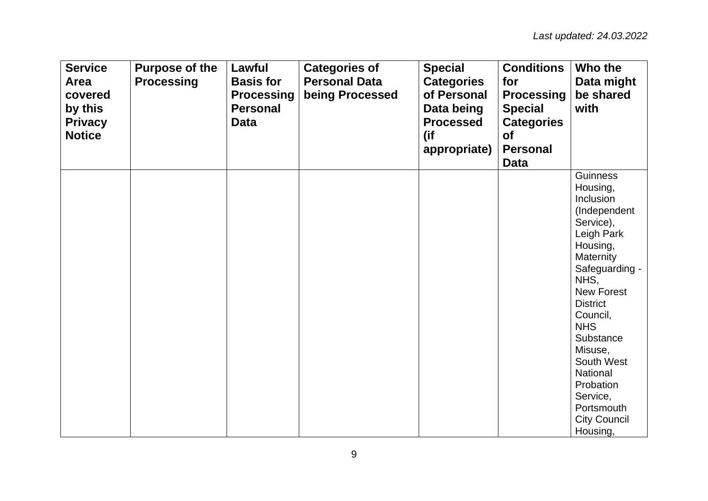| <b>Service</b><br>Area<br>covered<br>by this<br><b>Privacy</b><br><b>Notice</b> | <b>Purpose of the</b><br><b>Processing</b> | Lawful<br><b>Basis for</b><br><b>Processing</b><br><b>Personal</b><br><b>Data</b> | <b>Categories of</b><br><b>Personal Data</b><br>being Processed | <b>Special</b><br><b>Categories</b><br>of Personal<br>Data being<br><b>Processed</b><br>(if<br>appropriate) | <b>Conditions</b><br>for<br><b>Processing</b><br><b>Special</b><br><b>Categories</b><br><b>of</b><br><b>Personal</b><br><b>Data</b> | Who the<br>Data might<br>be shared<br>with                                                                                                                                                                                                                                                                                    |
|---------------------------------------------------------------------------------|--------------------------------------------|-----------------------------------------------------------------------------------|-----------------------------------------------------------------|-------------------------------------------------------------------------------------------------------------|-------------------------------------------------------------------------------------------------------------------------------------|-------------------------------------------------------------------------------------------------------------------------------------------------------------------------------------------------------------------------------------------------------------------------------------------------------------------------------|
|                                                                                 |                                            |                                                                                   |                                                                 |                                                                                                             |                                                                                                                                     | Guinness<br>Housing,<br>Inclusion<br>(Independent<br>Service),<br>Leigh Park<br>Housing,<br>Maternity<br>Safeguarding -<br>NHS,<br><b>New Forest</b><br><b>District</b><br>Council,<br><b>NHS</b><br>Substance<br>Misuse,<br>South West<br>National<br>Probation<br>Service,<br>Portsmouth<br><b>City Council</b><br>Housing, |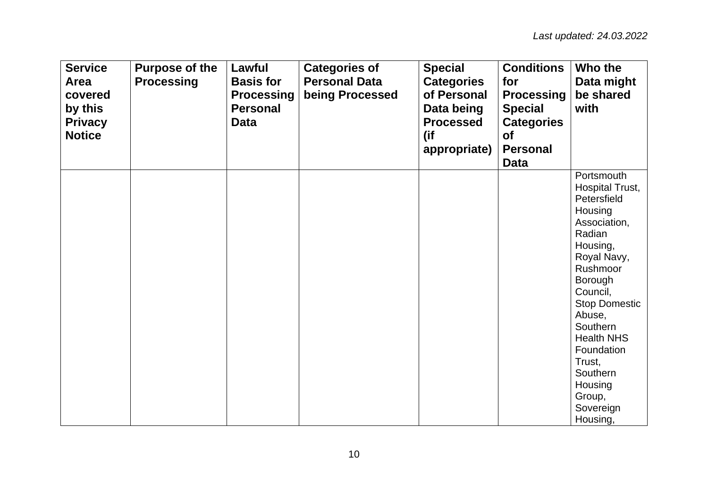| <b>Service</b><br><b>Area</b><br>covered<br>by this<br><b>Privacy</b><br><b>Notice</b> | <b>Purpose of the</b><br><b>Processing</b> | Lawful<br><b>Basis for</b><br><b>Processing</b><br><b>Personal</b><br><b>Data</b> | <b>Categories of</b><br><b>Personal Data</b><br>being Processed | <b>Special</b><br><b>Categories</b><br>of Personal<br>Data being<br><b>Processed</b><br>(if<br>appropriate) | <b>Conditions</b><br>for<br><b>Processing</b><br><b>Special</b><br><b>Categories</b><br><b>of</b><br><b>Personal</b><br><b>Data</b> | Who the<br>Data might<br>be shared<br>with                                                                                                                                                                                                                                                           |
|----------------------------------------------------------------------------------------|--------------------------------------------|-----------------------------------------------------------------------------------|-----------------------------------------------------------------|-------------------------------------------------------------------------------------------------------------|-------------------------------------------------------------------------------------------------------------------------------------|------------------------------------------------------------------------------------------------------------------------------------------------------------------------------------------------------------------------------------------------------------------------------------------------------|
|                                                                                        |                                            |                                                                                   |                                                                 |                                                                                                             |                                                                                                                                     | Portsmouth<br>Hospital Trust,<br>Petersfield<br>Housing<br>Association,<br>Radian<br>Housing,<br>Royal Navy,<br>Rushmoor<br>Borough<br>Council,<br><b>Stop Domestic</b><br>Abuse,<br>Southern<br><b>Health NHS</b><br>Foundation<br>Trust,<br>Southern<br>Housing<br>Group,<br>Sovereign<br>Housing, |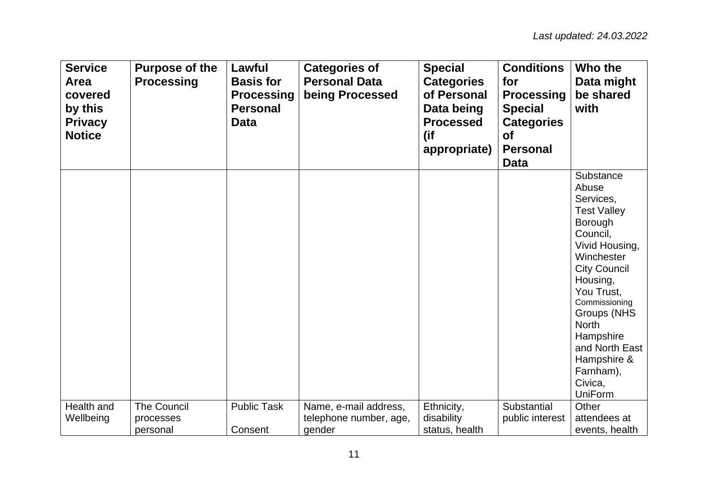| <b>Service</b><br>Area<br>covered<br>by this<br><b>Privacy</b><br><b>Notice</b> | <b>Purpose of the</b><br><b>Processing</b> | Lawful<br><b>Basis for</b><br><b>Processing</b><br><b>Personal</b><br>Data | <b>Categories of</b><br><b>Personal Data</b><br>being Processed | <b>Special</b><br><b>Categories</b><br>of Personal<br>Data being<br><b>Processed</b><br>(if<br>appropriate) | <b>Conditions</b><br>for<br><b>Processing</b><br><b>Special</b><br><b>Categories</b><br><b>of</b><br><b>Personal</b><br><b>Data</b> | Who the<br>Data might<br>be shared<br>with                                                                                                                                                                                                                                                            |
|---------------------------------------------------------------------------------|--------------------------------------------|----------------------------------------------------------------------------|-----------------------------------------------------------------|-------------------------------------------------------------------------------------------------------------|-------------------------------------------------------------------------------------------------------------------------------------|-------------------------------------------------------------------------------------------------------------------------------------------------------------------------------------------------------------------------------------------------------------------------------------------------------|
|                                                                                 |                                            |                                                                            |                                                                 |                                                                                                             |                                                                                                                                     | Substance<br>Abuse<br>Services,<br><b>Test Valley</b><br>Borough<br>Council,<br>Vivid Housing,<br>Winchester<br><b>City Council</b><br>Housing,<br>You Trust,<br>Commissioning<br>Groups (NHS<br><b>North</b><br>Hampshire<br>and North East<br>Hampshire &<br>Farnham),<br>Civica,<br><b>UniForm</b> |
| Health and                                                                      | The Council                                | <b>Public Task</b>                                                         | Name, e-mail address,                                           | Ethnicity,                                                                                                  | Substantial                                                                                                                         | Other                                                                                                                                                                                                                                                                                                 |
| Wellbeing                                                                       | processes<br>personal                      | Consent                                                                    | telephone number, age,<br>gender                                | disability<br>status, health                                                                                | public interest                                                                                                                     | attendees at<br>events, health                                                                                                                                                                                                                                                                        |
|                                                                                 |                                            |                                                                            |                                                                 |                                                                                                             |                                                                                                                                     |                                                                                                                                                                                                                                                                                                       |